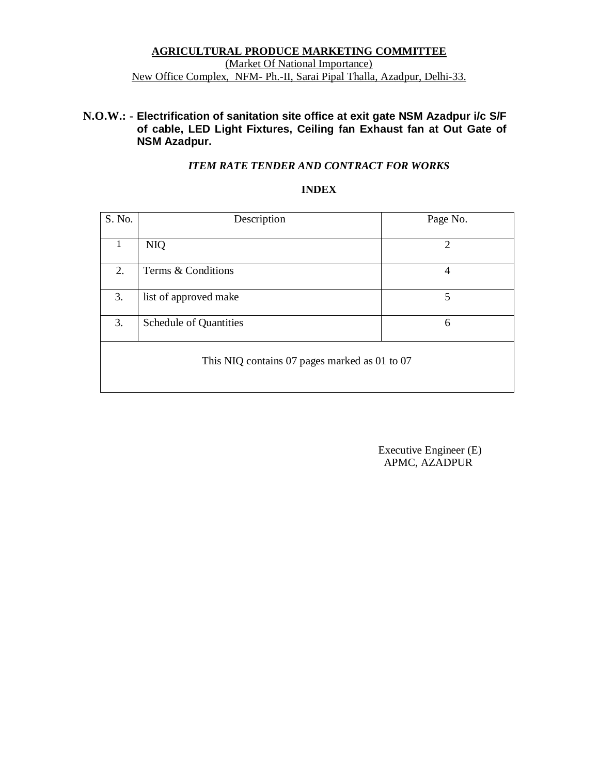#### **AGRICULTURAL PRODUCE MARKETING COMMITTEE** (Market Of National Importance) New Office Complex, NFM- Ph.-II, Sarai Pipal Thalla, Azadpur, Delhi-33.

#### **N.O.W.: - Electrification of sanitation site office at exit gate NSM Azadpur i/c S/F of cable, LED Light Fixtures, Ceiling fan Exhaust fan at Out Gate of NSM Azadpur.**

#### *ITEM RATE TENDER AND CONTRACT FOR WORKS*

#### **INDEX**

| S. No.                                        | Description            | Page No. |  |  |  |
|-----------------------------------------------|------------------------|----------|--|--|--|
| $\mathbf 1$                                   | <b>NIQ</b>             | 2        |  |  |  |
| 2.                                            | Terms & Conditions     | 4        |  |  |  |
| 3.                                            | list of approved make  | 5        |  |  |  |
| 3.                                            | Schedule of Quantities | 6        |  |  |  |
| This NIQ contains 07 pages marked as 01 to 07 |                        |          |  |  |  |

 Executive Engineer (E) APMC, AZADPUR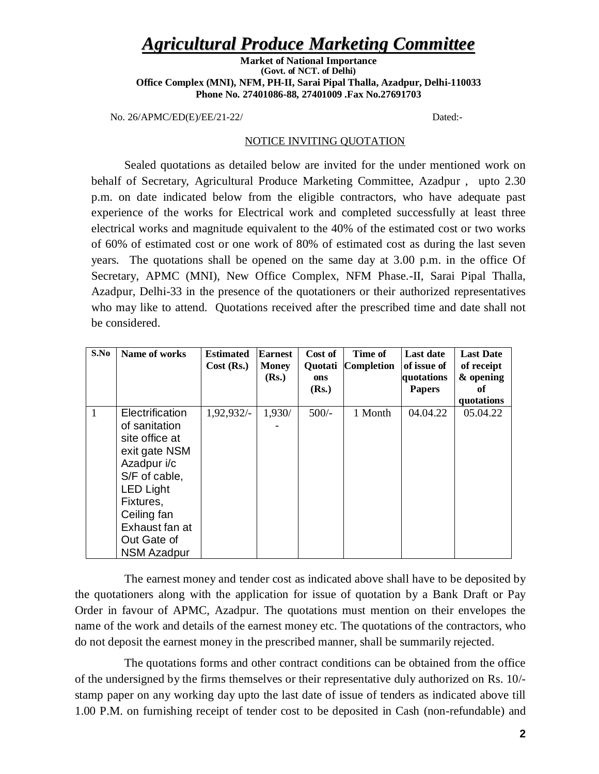## *Agricultural Produce Marketing Committee*

**Market of National Importance (Govt. of NCT. of Delhi) Office Complex (MNI), NFM, PH-II, Sarai Pipal Thalla, Azadpur, Delhi-110033 Phone No. 27401086-88, 27401009 .Fax No.27691703**

No. 26/APMC/ED(E)/EE/21-22/ Dated:-

#### NOTICE INVITING QUOTATION

Sealed quotations as detailed below are invited for the under mentioned work on behalf of Secretary, Agricultural Produce Marketing Committee, Azadpur , upto 2.30 p.m. on date indicated below from the eligible contractors, who have adequate past experience of the works for Electrical work and completed successfully at least three electrical works and magnitude equivalent to the 40% of the estimated cost or two works of 60% of estimated cost or one work of 80% of estimated cost as during the last seven years. The quotations shall be opened on the same day at 3.00 p.m. in the office Of Secretary, APMC (MNI), New Office Complex, NFM Phase.-II, Sarai Pipal Thalla, Azadpur, Delhi-33 in the presence of the quotationers or their authorized representatives who may like to attend. Quotations received after the prescribed time and date shall not be considered.

| S.No | Name of works                                                                                                                                                                                              | <b>Estimated</b><br>Cost (Rs.) | <b>Earnest</b><br><b>Money</b><br>(Rs.) | Cost of<br>Quotati<br>ons<br>(Rs.) | Time of<br><b>Completion</b> | <b>Last date</b><br>of issue of<br>quotations<br><b>Papers</b> | <b>Last Date</b><br>of receipt<br>& opening<br>оf |
|------|------------------------------------------------------------------------------------------------------------------------------------------------------------------------------------------------------------|--------------------------------|-----------------------------------------|------------------------------------|------------------------------|----------------------------------------------------------------|---------------------------------------------------|
|      | Electrification<br>of sanitation<br>site office at<br>exit gate NSM<br>Azadpur i/c<br>S/F of cable,<br><b>LED Light</b><br>Fixtures,<br>Ceiling fan<br>Exhaust fan at<br>Out Gate of<br><b>NSM Azadpur</b> | $1,92,932/-$                   | 1,930/                                  | $500/-$                            | 1 Month                      | 04.04.22                                                       | quotations<br>05.04.22                            |

The earnest money and tender cost as indicated above shall have to be deposited by the quotationers along with the application for issue of quotation by a Bank Draft or Pay Order in favour of APMC, Azadpur. The quotations must mention on their envelopes the name of the work and details of the earnest money etc. The quotations of the contractors, who do not deposit the earnest money in the prescribed manner, shall be summarily rejected.

The quotations forms and other contract conditions can be obtained from the office of the undersigned by the firms themselves or their representative duly authorized on Rs. 10/ stamp paper on any working day upto the last date of issue of tenders as indicated above till 1.00 P.M. on furnishing receipt of tender cost to be deposited in Cash (non-refundable) and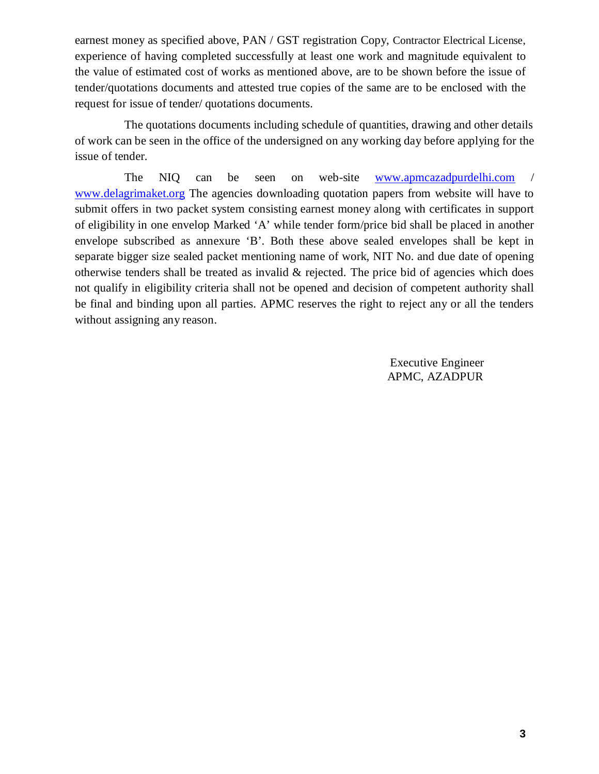earnest money as specified above, PAN / GST registration Copy, Contractor Electrical License, experience of having completed successfully at least one work and magnitude equivalent to the value of estimated cost of works as mentioned above, are to be shown before the issue of tender/quotations documents and attested true copies of the same are to be enclosed with the request for issue of tender/ quotations documents.

The quotations documents including schedule of quantities, drawing and other details of work can be seen in the office of the undersigned on any working day before applying for the issue of tender.

The NIQ can be seen on web-site www.apmcazadpurdelhi.com / www.delagrimaket.org The agencies downloading quotation papers from website will have to submit offers in two packet system consisting earnest money along with certificates in support of eligibility in one envelop Marked 'A' while tender form/price bid shall be placed in another envelope subscribed as annexure 'B'. Both these above sealed envelopes shall be kept in separate bigger size sealed packet mentioning name of work, NIT No. and due date of opening otherwise tenders shall be treated as invalid  $\&$  rejected. The price bid of agencies which does not qualify in eligibility criteria shall not be opened and decision of competent authority shall be final and binding upon all parties. APMC reserves the right to reject any or all the tenders without assigning any reason.

> Executive Engineer APMC, AZADPUR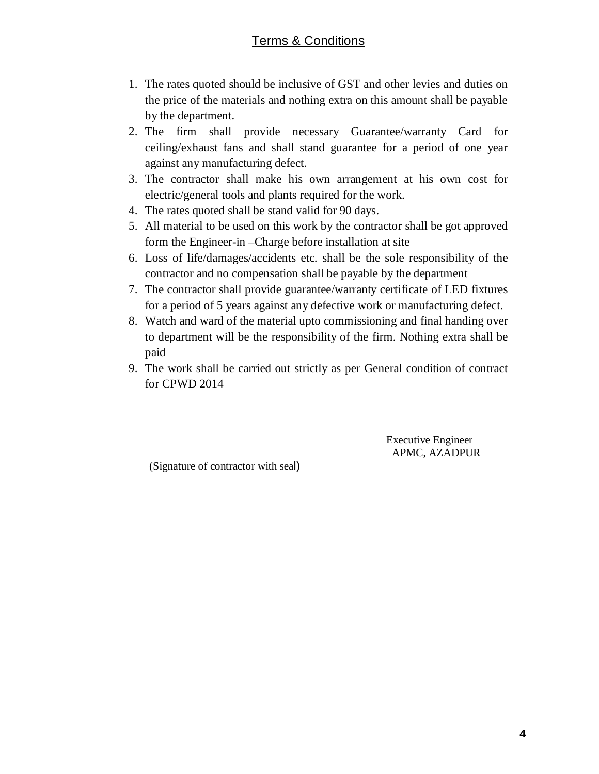### Terms & Conditions

- 1. The rates quoted should be inclusive of GST and other levies and duties on the price of the materials and nothing extra on this amount shall be payable by the department.
- 2. The firm shall provide necessary Guarantee/warranty Card for ceiling/exhaust fans and shall stand guarantee for a period of one year against any manufacturing defect.
- 3. The contractor shall make his own arrangement at his own cost for electric/general tools and plants required for the work.
- 4. The rates quoted shall be stand valid for 90 days.
- 5. All material to be used on this work by the contractor shall be got approved form the Engineer-in –Charge before installation at site
- 6. Loss of life/damages/accidents etc. shall be the sole responsibility of the contractor and no compensation shall be payable by the department
- 7. The contractor shall provide guarantee/warranty certificate of LED fixtures for a period of 5 years against any defective work or manufacturing defect.
- 8. Watch and ward of the material upto commissioning and final handing over to department will be the responsibility of the firm. Nothing extra shall be paid
- 9. The work shall be carried out strictly as per General condition of contract for CPWD 2014

 Executive Engineer APMC, AZADPUR

(Signature of contractor with seal)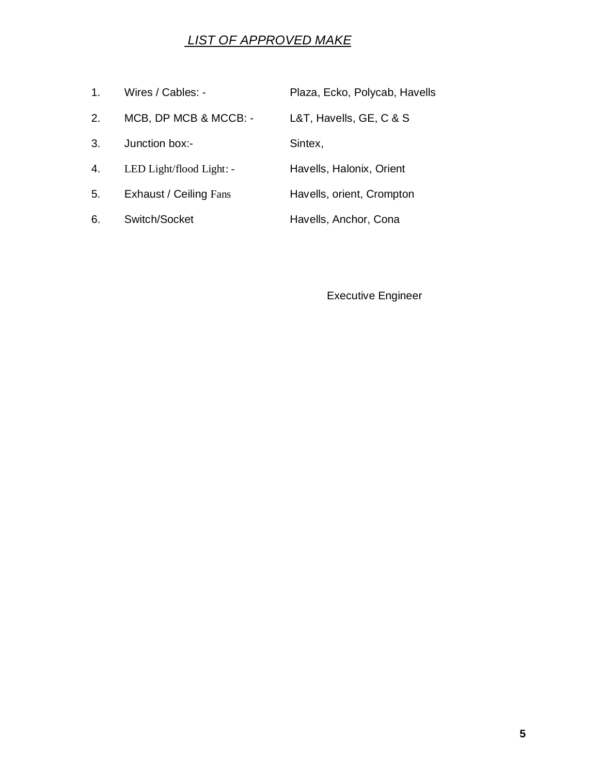## *LIST OF APPROVED MAKE*

| 1 <sub>1</sub> | Wires / Cables: -        | Plaza, Ecko, Polycab, Havells |
|----------------|--------------------------|-------------------------------|
| 2.             | MCB, DP MCB & MCCB: -    | L&T, Havells, GE, C & S       |
| 3.             | Junction box:-           | Sintex,                       |
| 4.             | LED Light/flood Light: - | Havells, Halonix, Orient      |
| 5.             | Exhaust / Ceiling Fans   | Havells, orient, Crompton     |
| 6.             | Switch/Socket            | Havells, Anchor, Cona         |

Executive Engineer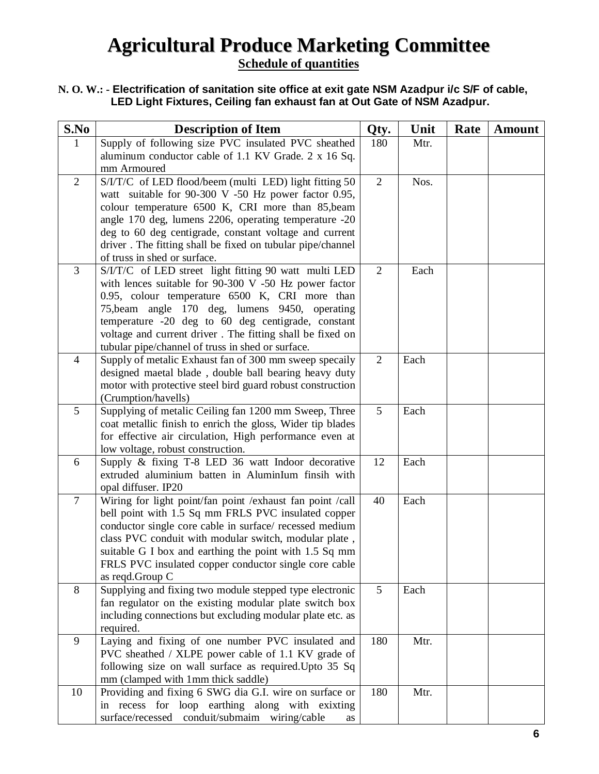# **Agricultural Produce Marketing Committee**

**Schedule of quantities**

#### **N. O. W.: - Electrification of sanitation site office at exit gate NSM Azadpur i/c S/F of cable, LED Light Fixtures, Ceiling fan exhaust fan at Out Gate of NSM Azadpur.**

| S.No           | <b>Description of Item</b>                                                                                     | Qty.           | Unit | Rate | <b>Amount</b> |
|----------------|----------------------------------------------------------------------------------------------------------------|----------------|------|------|---------------|
| 1              | Supply of following size PVC insulated PVC sheathed                                                            | 180            | Mtr. |      |               |
|                | aluminum conductor cable of 1.1 KV Grade. 2 x 16 Sq.                                                           |                |      |      |               |
|                | mm Armoured                                                                                                    |                |      |      |               |
| 2              | S/I/T/C of LED flood/beem (multi LED) light fitting 50                                                         | $\overline{2}$ | Nos. |      |               |
|                | watt suitable for 90-300 V -50 Hz power factor 0.95,                                                           |                |      |      |               |
|                | colour temperature 6500 K, CRI more than 85, beam                                                              |                |      |      |               |
|                | angle 170 deg, lumens 2206, operating temperature -20                                                          |                |      |      |               |
|                | deg to 60 deg centigrade, constant voltage and current                                                         |                |      |      |               |
|                | driver. The fitting shall be fixed on tubular pipe/channel                                                     |                |      |      |               |
|                | of truss in shed or surface.                                                                                   |                |      |      |               |
| 3              | S/I/T/C of LED street light fitting 90 watt multi LED                                                          | $\overline{2}$ | Each |      |               |
|                | with lences suitable for $90-300$ V -50 Hz power factor                                                        |                |      |      |               |
|                | 0.95, colour temperature 6500 K, CRI more than                                                                 |                |      |      |               |
|                | 75, beam angle 170 deg, lumens 9450, operating                                                                 |                |      |      |               |
|                | temperature -20 deg to 60 deg centigrade, constant                                                             |                |      |      |               |
|                | voltage and current driver. The fitting shall be fixed on<br>tubular pipe/channel of truss in shed or surface. |                |      |      |               |
| $\overline{4}$ | Supply of metalic Exhaust fan of 300 mm sweep specally                                                         | $\overline{2}$ | Each |      |               |
|                | designed maetal blade, double ball bearing heavy duty                                                          |                |      |      |               |
|                | motor with protective steel bird guard robust construction                                                     |                |      |      |               |
|                | (Crumption/havells)                                                                                            |                |      |      |               |
| 5              | Supplying of metalic Ceiling fan 1200 mm Sweep, Three                                                          | 5              | Each |      |               |
|                | coat metallic finish to enrich the gloss, Wider tip blades                                                     |                |      |      |               |
|                | for effective air circulation, High performance even at                                                        |                |      |      |               |
|                | low voltage, robust construction.                                                                              |                |      |      |               |
| 6              | Supply & fixing T-8 LED 36 watt Indoor decorative                                                              | 12             | Each |      |               |
|                | extruded aluminium batten in AluminIum finsih with                                                             |                |      |      |               |
|                | opal diffuser. IP20                                                                                            |                |      |      |               |
| $\tau$         | Wiring for light point/fan point /exhaust fan point /call                                                      | 40             | Each |      |               |
|                | bell point with 1.5 Sq mm FRLS PVC insulated copper                                                            |                |      |      |               |
|                | conductor single core cable in surface/ recessed medium                                                        |                |      |      |               |
|                | class PVC conduit with modular switch, modular plate,                                                          |                |      |      |               |
|                | suitable G I box and earthing the point with 1.5 Sq mm                                                         |                |      |      |               |
|                | FRLS PVC insulated copper conductor single core cable                                                          |                |      |      |               |
|                | as reqd.Group C                                                                                                |                |      |      |               |
| 8              | Supplying and fixing two module stepped type electronic                                                        | 5              | Each |      |               |
|                | fan regulator on the existing modular plate switch box                                                         |                |      |      |               |
|                | including connections but excluding modular plate etc. as                                                      |                |      |      |               |
| 9              | required.<br>Laying and fixing of one number PVC insulated and                                                 | 180            | Mtr. |      |               |
|                | PVC sheathed / XLPE power cable of 1.1 KV grade of                                                             |                |      |      |               |
|                | following size on wall surface as required. Upto 35 Sq                                                         |                |      |      |               |
|                | mm (clamped with 1mm thick saddle)                                                                             |                |      |      |               |
| 10             | Providing and fixing 6 SWG dia G.I. wire on surface or                                                         | 180            | Mtr. |      |               |
|                | in recess for loop earthing along with exixting                                                                |                |      |      |               |
|                | surface/recessed conduit/submaim wiring/cable<br>as                                                            |                |      |      |               |